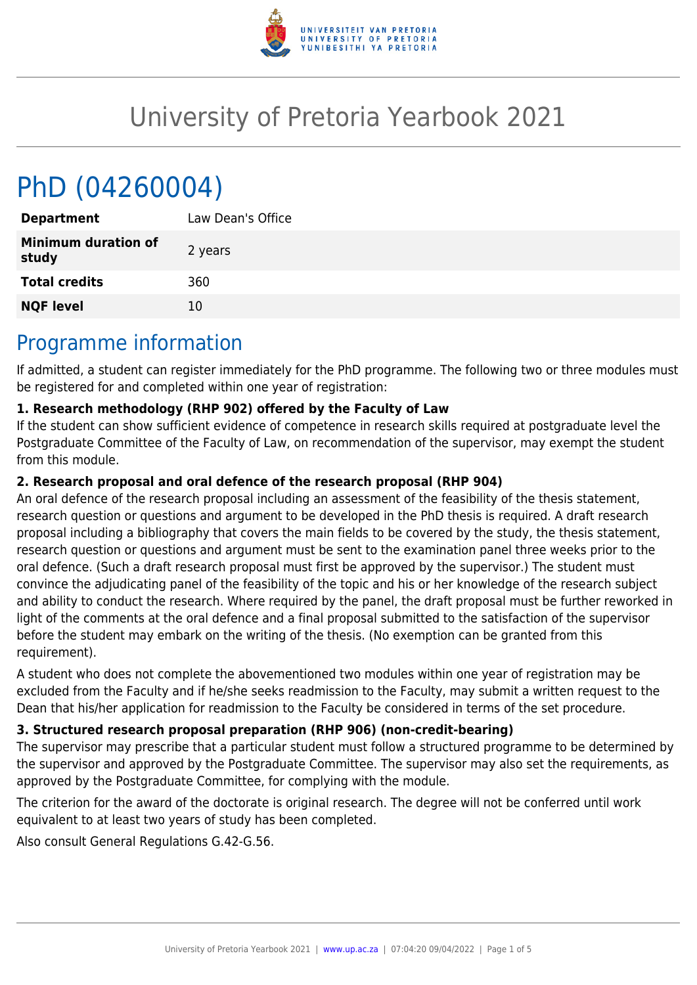

# University of Pretoria Yearbook 2021

# PhD (04260004)

| <b>Department</b>                   | Law Dean's Office |
|-------------------------------------|-------------------|
| <b>Minimum duration of</b><br>study | 2 years           |
| <b>Total credits</b>                | 360               |
| <b>NQF level</b>                    | 10                |
|                                     |                   |

### Programme information

If admitted, a student can register immediately for the PhD programme. The following two or three modules must be registered for and completed within one year of registration:

#### **1. Research methodology (RHP 902) offered by the Faculty of Law**

If the student can show sufficient evidence of competence in research skills required at postgraduate level the Postgraduate Committee of the Faculty of Law, on recommendation of the supervisor, may exempt the student from this module.

#### **2. Research proposal and oral defence of the research proposal (RHP 904)**

An oral defence of the research proposal including an assessment of the feasibility of the thesis statement, research question or questions and argument to be developed in the PhD thesis is required. A draft research proposal including a bibliography that covers the main fields to be covered by the study, the thesis statement, research question or questions and argument must be sent to the examination panel three weeks prior to the oral defence. (Such a draft research proposal must first be approved by the supervisor.) The student must convince the adjudicating panel of the feasibility of the topic and his or her knowledge of the research subject and ability to conduct the research. Where required by the panel, the draft proposal must be further reworked in light of the comments at the oral defence and a final proposal submitted to the satisfaction of the supervisor before the student may embark on the writing of the thesis. (No exemption can be granted from this requirement).

A student who does not complete the abovementioned two modules within one year of registration may be excluded from the Faculty and if he/she seeks readmission to the Faculty, may submit a written request to the Dean that his/her application for readmission to the Faculty be considered in terms of the set procedure.

#### **3. Structured research proposal preparation (RHP 906) (non-credit-bearing)**

The supervisor may prescribe that a particular student must follow a structured programme to be determined by the supervisor and approved by the Postgraduate Committee. The supervisor may also set the requirements, as approved by the Postgraduate Committee, for complying with the module.

The criterion for the award of the doctorate is original research. The degree will not be conferred until work equivalent to at least two years of study has been completed.

Also consult General Regulations G.42-G.56.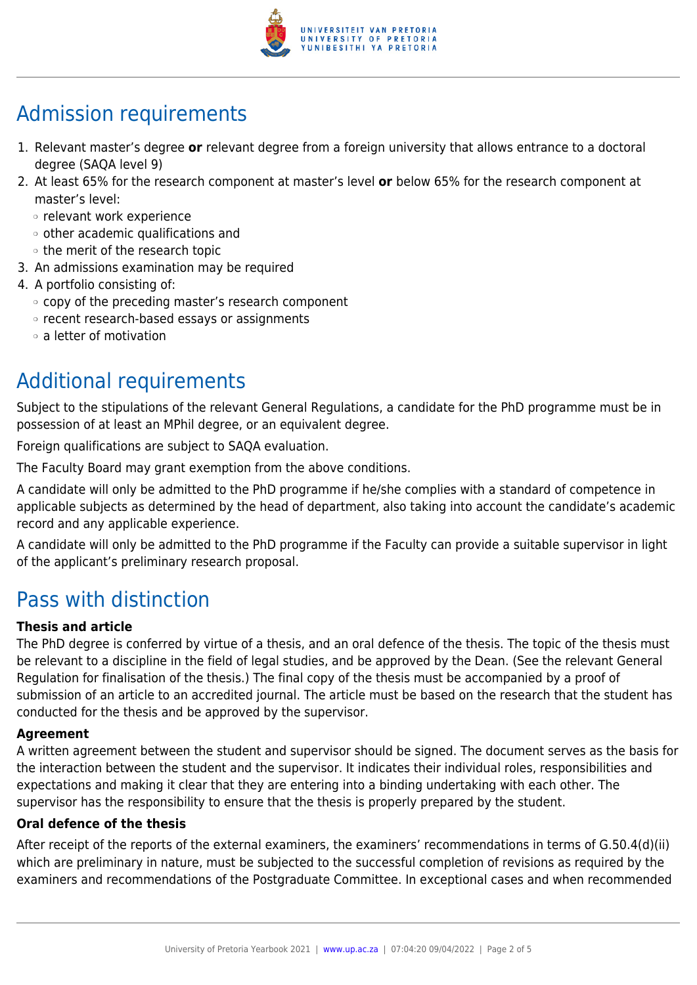

## Admission requirements

- 1. Relevant master's degree **or** relevant degree from a foreign university that allows entrance to a doctoral degree (SAQA level 9)
- 2. At least 65% for the research component at master's level **or** below 65% for the research component at master's level:
	- ❍ relevant work experience
	- ❍ other academic qualifications and
	- ❍ the merit of the research topic
- 3. An admissions examination may be required
- 4. A portfolio consisting of:
	- ❍ copy of the preceding master's research component
	- ❍ recent research-based essays or assignments
	- ❍ a letter of motivation

## Additional requirements

Subject to the stipulations of the relevant General Regulations, a candidate for the PhD programme must be in possession of at least an MPhil degree, or an equivalent degree.

Foreign qualifications are subject to SAQA evaluation.

The Faculty Board may grant exemption from the above conditions.

A candidate will only be admitted to the PhD programme if he/she complies with a standard of competence in applicable subjects as determined by the head of department, also taking into account the candidate's academic record and any applicable experience.

A candidate will only be admitted to the PhD programme if the Faculty can provide a suitable supervisor in light of the applicant's preliminary research proposal.

### Pass with distinction

#### **Thesis and article**

The PhD degree is conferred by virtue of a thesis, and an oral defence of the thesis. The topic of the thesis must be relevant to a discipline in the field of legal studies, and be approved by the Dean. (See the relevant General Regulation for finalisation of the thesis.) The final copy of the thesis must be accompanied by a proof of submission of an article to an accredited journal. The article must be based on the research that the student has conducted for the thesis and be approved by the supervisor.

#### **Agreement**

A written agreement between the student and supervisor should be signed. The document serves as the basis for the interaction between the student and the supervisor. It indicates their individual roles, responsibilities and expectations and making it clear that they are entering into a binding undertaking with each other. The supervisor has the responsibility to ensure that the thesis is properly prepared by the student.

#### **Oral defence of the thesis**

After receipt of the reports of the external examiners, the examiners' recommendations in terms of G.50.4(d)(ii) which are preliminary in nature, must be subjected to the successful completion of revisions as required by the examiners and recommendations of the Postgraduate Committee. In exceptional cases and when recommended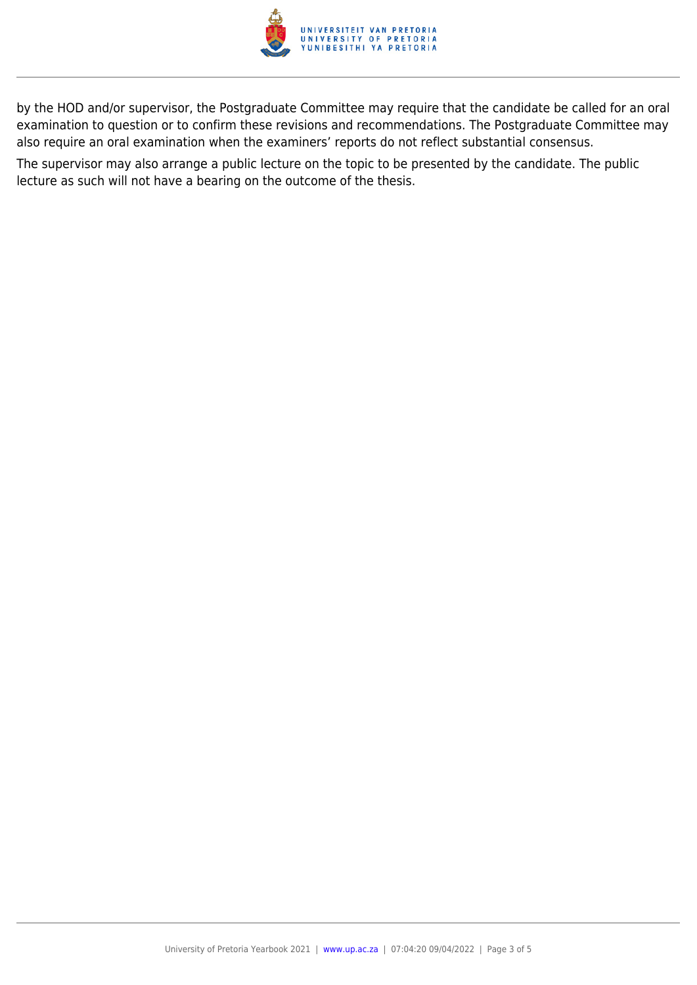

by the HOD and/or supervisor, the Postgraduate Committee may require that the candidate be called for an oral examination to question or to confirm these revisions and recommendations. The Postgraduate Committee may also require an oral examination when the examiners' reports do not reflect substantial consensus.

The supervisor may also arrange a public lecture on the topic to be presented by the candidate. The public lecture as such will not have a bearing on the outcome of the thesis.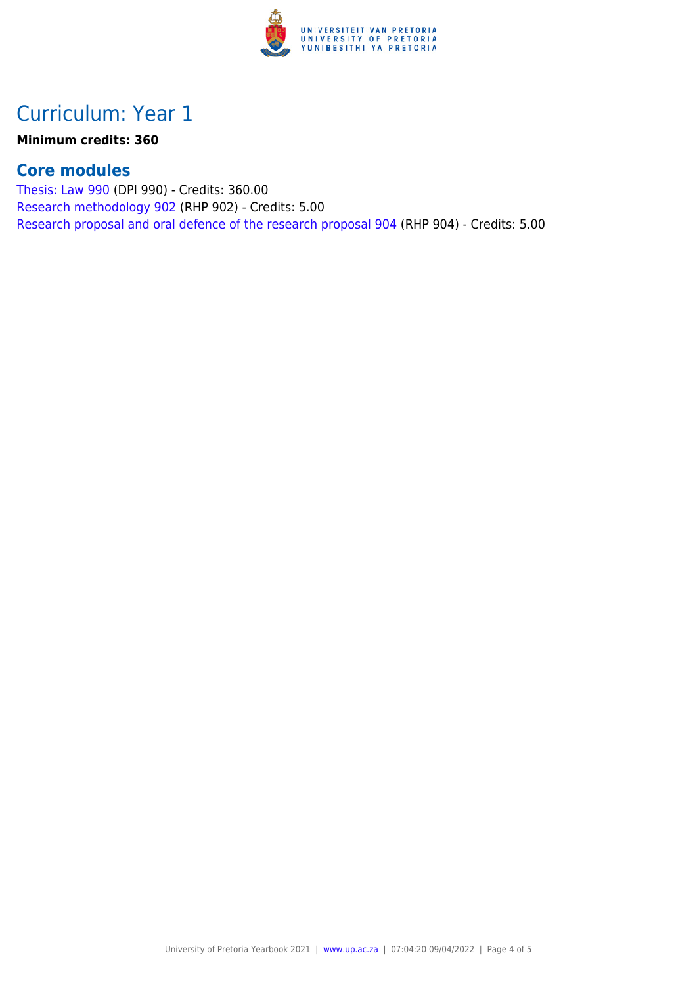

## Curriculum: Year 1

**Minimum credits: 360**

### **Core modules**

[Thesis: Law 990](https://www.up.ac.za/parents/yearbooks/2021/modules/view/DPI 990) (DPI 990) - Credits: 360.00 [Research methodology 902](https://www.up.ac.za/parents/yearbooks/2021/modules/view/RHP 902) (RHP 902) - Credits: 5.00 [Research proposal and oral defence of the research proposal 904](https://www.up.ac.za/parents/yearbooks/2021/modules/view/RHP 904) (RHP 904) - Credits: 5.00